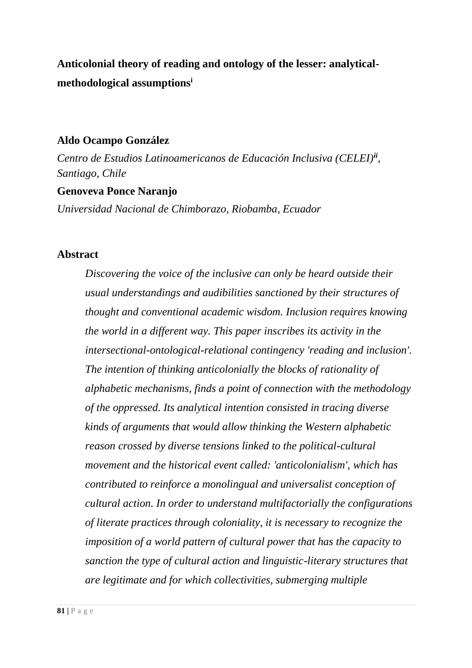**Anticolonial theory of reading and ontology of the lesser: analyticalmethodological assumptions<sup>i</sup>**

# **Aldo Ocampo González**

*Centro de Estudios Latinoamericanos de Educación Inclusiva (CELEI)ii , Santiago, Chile*

## **Genoveva Ponce Naranjo**

*Universidad Nacional de Chimborazo, Riobamba, Ecuador*

# **Abstract**

*Discovering the voice of the inclusive can only be heard outside their usual understandings and audibilities sanctioned by their structures of thought and conventional academic wisdom. Inclusion requires knowing the world in a different way. This paper inscribes its activity in the intersectional-ontological-relational contingency 'reading and inclusion'. The intention of thinking anticolonially the blocks of rationality of alphabetic mechanisms, finds a point of connection with the methodology of the oppressed. Its analytical intention consisted in tracing diverse kinds of arguments that would allow thinking the Western alphabetic reason crossed by diverse tensions linked to the political-cultural movement and the historical event called: 'anticolonialism', which has contributed to reinforce a monolingual and universalist conception of cultural action. In order to understand multifactorially the configurations of literate practices through coloniality, it is necessary to recognize the imposition of a world pattern of cultural power that has the capacity to sanction the type of cultural action and linguistic-literary structures that are legitimate and for which collectivities, submerging multiple*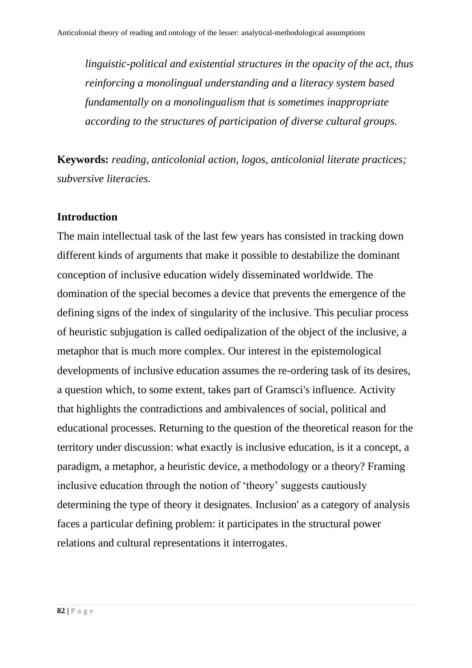*linguistic-political and existential structures in the opacity of the act, thus reinforcing a monolingual understanding and a literacy system based fundamentally on a monolingualism that is sometimes inappropriate according to the structures of participation of diverse cultural groups.* 

**Keywords:** *reading, anticolonial action, logos, anticolonial literate practices; subversive literacies.*

#### **Introduction**

The main intellectual task of the last few years has consisted in tracking down different kinds of arguments that make it possible to destabilize the dominant conception of inclusive education widely disseminated worldwide. The domination of the special becomes a device that prevents the emergence of the defining signs of the index of singularity of the inclusive. This peculiar process of heuristic subjugation is called oedipalization of the object of the inclusive, a metaphor that is much more complex. Our interest in the epistemological developments of inclusive education assumes the re-ordering task of its desires, a question which, to some extent, takes part of Gramsci's influence. Activity that highlights the contradictions and ambivalences of social, political and educational processes. Returning to the question of the theoretical reason for the territory under discussion: what exactly is inclusive education, is it a concept, a paradigm, a metaphor, a heuristic device, a methodology or a theory? Framing inclusive education through the notion of 'theory' suggests cautiously determining the type of theory it designates. Inclusion' as a category of analysis faces a particular defining problem: it participates in the structural power relations and cultural representations it interrogates.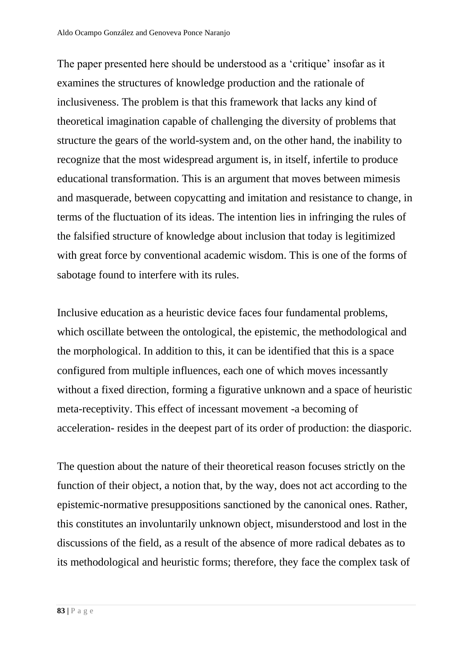The paper presented here should be understood as a 'critique' insofar as it examines the structures of knowledge production and the rationale of inclusiveness. The problem is that this framework that lacks any kind of theoretical imagination capable of challenging the diversity of problems that structure the gears of the world-system and, on the other hand, the inability to recognize that the most widespread argument is, in itself, infertile to produce educational transformation. This is an argument that moves between mimesis and masquerade, between copycatting and imitation and resistance to change, in terms of the fluctuation of its ideas. The intention lies in infringing the rules of the falsified structure of knowledge about inclusion that today is legitimized with great force by conventional academic wisdom. This is one of the forms of sabotage found to interfere with its rules.

Inclusive education as a heuristic device faces four fundamental problems, which oscillate between the ontological, the epistemic, the methodological and the morphological. In addition to this, it can be identified that this is a space configured from multiple influences, each one of which moves incessantly without a fixed direction, forming a figurative unknown and a space of heuristic meta-receptivity. This effect of incessant movement -a becoming of acceleration- resides in the deepest part of its order of production: the diasporic.

The question about the nature of their theoretical reason focuses strictly on the function of their object, a notion that, by the way, does not act according to the epistemic-normative presuppositions sanctioned by the canonical ones. Rather, this constitutes an involuntarily unknown object, misunderstood and lost in the discussions of the field, as a result of the absence of more radical debates as to its methodological and heuristic forms; therefore, they face the complex task of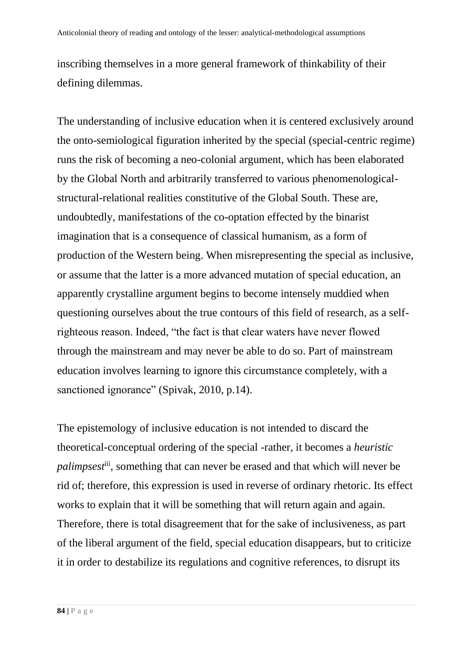inscribing themselves in a more general framework of thinkability of their defining dilemmas.

The understanding of inclusive education when it is centered exclusively around the onto-semiological figuration inherited by the special (special-centric regime) runs the risk of becoming a neo-colonial argument, which has been elaborated by the Global North and arbitrarily transferred to various phenomenologicalstructural-relational realities constitutive of the Global South. These are, undoubtedly, manifestations of the co-optation effected by the binarist imagination that is a consequence of classical humanism, as a form of production of the Western being. When misrepresenting the special as inclusive, or assume that the latter is a more advanced mutation of special education, an apparently crystalline argument begins to become intensely muddied when questioning ourselves about the true contours of this field of research, as a selfrighteous reason. Indeed, "the fact is that clear waters have never flowed through the mainstream and may never be able to do so. Part of mainstream education involves learning to ignore this circumstance completely, with a sanctioned ignorance" (Spivak, 2010, p.14).

The epistemology of inclusive education is not intended to discard the theoretical-conceptual ordering of the special -rather, it becomes a *heuristic palimpsest*iii, something that can never be erased and that which will never be rid of; therefore, this expression is used in reverse of ordinary rhetoric. Its effect works to explain that it will be something that will return again and again. Therefore, there is total disagreement that for the sake of inclusiveness, as part of the liberal argument of the field, special education disappears, but to criticize it in order to destabilize its regulations and cognitive references, to disrupt its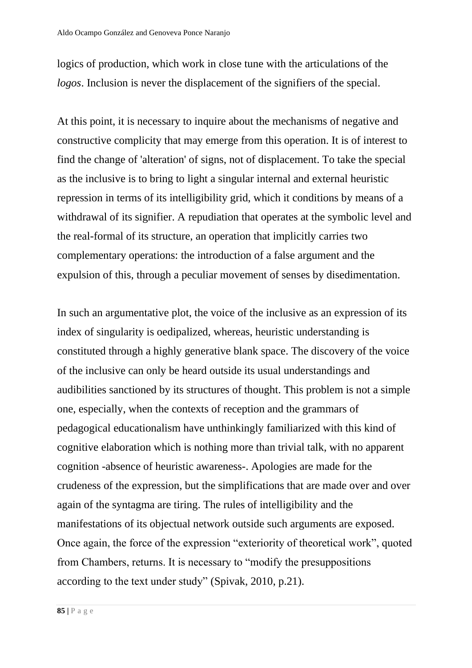logics of production, which work in close tune with the articulations of the *logos*. Inclusion is never the displacement of the signifiers of the special.

At this point, it is necessary to inquire about the mechanisms of negative and constructive complicity that may emerge from this operation. It is of interest to find the change of 'alteration' of signs, not of displacement. To take the special as the inclusive is to bring to light a singular internal and external heuristic repression in terms of its intelligibility grid, which it conditions by means of a withdrawal of its signifier. A repudiation that operates at the symbolic level and the real-formal of its structure, an operation that implicitly carries two complementary operations: the introduction of a false argument and the expulsion of this, through a peculiar movement of senses by disedimentation.

In such an argumentative plot, the voice of the inclusive as an expression of its index of singularity is oedipalized, whereas, heuristic understanding is constituted through a highly generative blank space. The discovery of the voice of the inclusive can only be heard outside its usual understandings and audibilities sanctioned by its structures of thought. This problem is not a simple one, especially, when the contexts of reception and the grammars of pedagogical educationalism have unthinkingly familiarized with this kind of cognitive elaboration which is nothing more than trivial talk, with no apparent cognition -absence of heuristic awareness-. Apologies are made for the crudeness of the expression, but the simplifications that are made over and over again of the syntagma are tiring. The rules of intelligibility and the manifestations of its objectual network outside such arguments are exposed. Once again, the force of the expression "exteriority of theoretical work", quoted from Chambers, returns. It is necessary to "modify the presuppositions according to the text under study" (Spivak, 2010, p.21).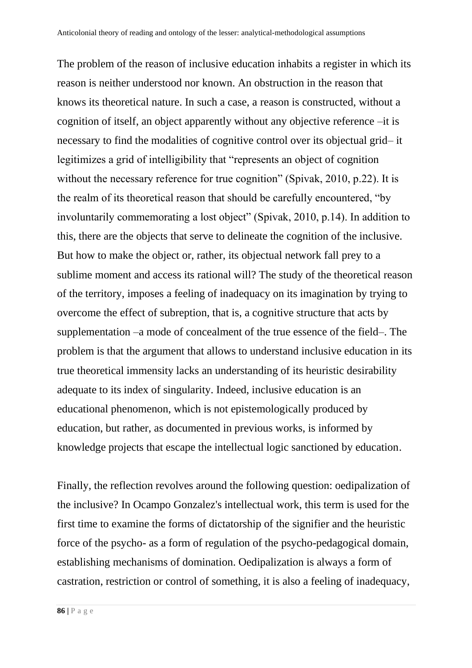The problem of the reason of inclusive education inhabits a register in which its reason is neither understood nor known. An obstruction in the reason that knows its theoretical nature. In such a case, a reason is constructed, without a cognition of itself, an object apparently without any objective reference –it is necessary to find the modalities of cognitive control over its objectual grid– it legitimizes a grid of intelligibility that "represents an object of cognition without the necessary reference for true cognition" (Spivak, 2010, p.22). It is the realm of its theoretical reason that should be carefully encountered, "by involuntarily commemorating a lost object" (Spivak, 2010, p.14). In addition to this, there are the objects that serve to delineate the cognition of the inclusive. But how to make the object or, rather, its objectual network fall prey to a sublime moment and access its rational will? The study of the theoretical reason of the territory, imposes a feeling of inadequacy on its imagination by trying to overcome the effect of subreption, that is, a cognitive structure that acts by supplementation –a mode of concealment of the true essence of the field–. The problem is that the argument that allows to understand inclusive education in its true theoretical immensity lacks an understanding of its heuristic desirability adequate to its index of singularity. Indeed, inclusive education is an educational phenomenon, which is not epistemologically produced by education, but rather, as documented in previous works, is informed by knowledge projects that escape the intellectual logic sanctioned by education.

Finally, the reflection revolves around the following question: oedipalization of the inclusive? In Ocampo Gonzalez's intellectual work, this term is used for the first time to examine the forms of dictatorship of the signifier and the heuristic force of the psycho- as a form of regulation of the psycho-pedagogical domain, establishing mechanisms of domination. Oedipalization is always a form of castration, restriction or control of something, it is also a feeling of inadequacy,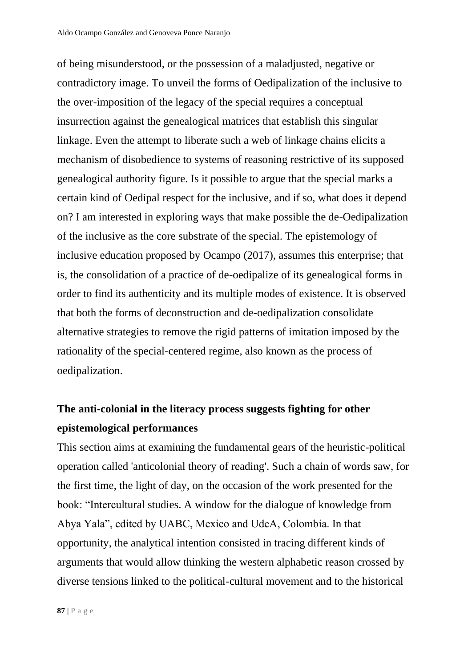of being misunderstood, or the possession of a maladjusted, negative or contradictory image. To unveil the forms of Oedipalization of the inclusive to the over-imposition of the legacy of the special requires a conceptual insurrection against the genealogical matrices that establish this singular linkage. Even the attempt to liberate such a web of linkage chains elicits a mechanism of disobedience to systems of reasoning restrictive of its supposed genealogical authority figure. Is it possible to argue that the special marks a certain kind of Oedipal respect for the inclusive, and if so, what does it depend on? I am interested in exploring ways that make possible the de-Oedipalization of the inclusive as the core substrate of the special. The epistemology of inclusive education proposed by Ocampo (2017), assumes this enterprise; that is, the consolidation of a practice of de-oedipalize of its genealogical forms in order to find its authenticity and its multiple modes of existence. It is observed that both the forms of deconstruction and de-oedipalization consolidate alternative strategies to remove the rigid patterns of imitation imposed by the rationality of the special-centered regime, also known as the process of oedipalization.

# **The anti-colonial in the literacy process suggests fighting for other epistemological performances**

This section aims at examining the fundamental gears of the heuristic-political operation called 'anticolonial theory of reading'. Such a chain of words saw, for the first time, the light of day, on the occasion of the work presented for the book: "Intercultural studies. A window for the dialogue of knowledge from Abya Yala", edited by UABC, Mexico and UdeA, Colombia. In that opportunity, the analytical intention consisted in tracing different kinds of arguments that would allow thinking the western alphabetic reason crossed by diverse tensions linked to the political-cultural movement and to the historical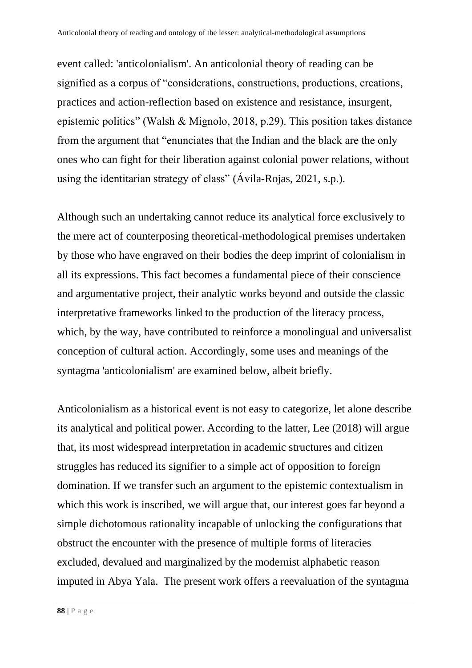event called: 'anticolonialism'. An anticolonial theory of reading can be signified as a corpus of "considerations, constructions, productions, creations, practices and action-reflection based on existence and resistance, insurgent, epistemic politics" (Walsh & Mignolo, 2018, p.29). This position takes distance from the argument that "enunciates that the Indian and the black are the only ones who can fight for their liberation against colonial power relations, without using the identitarian strategy of class" (Ávila-Rojas, 2021, s.p.).

Although such an undertaking cannot reduce its analytical force exclusively to the mere act of counterposing theoretical-methodological premises undertaken by those who have engraved on their bodies the deep imprint of colonialism in all its expressions. This fact becomes a fundamental piece of their conscience and argumentative project, their analytic works beyond and outside the classic interpretative frameworks linked to the production of the literacy process, which, by the way, have contributed to reinforce a monolingual and universalist conception of cultural action. Accordingly, some uses and meanings of the syntagma 'anticolonialism' are examined below, albeit briefly.

Anticolonialism as a historical event is not easy to categorize, let alone describe its analytical and political power. According to the latter, Lee (2018) will argue that, its most widespread interpretation in academic structures and citizen struggles has reduced its signifier to a simple act of opposition to foreign domination. If we transfer such an argument to the epistemic contextualism in which this work is inscribed, we will argue that, our interest goes far beyond a simple dichotomous rationality incapable of unlocking the configurations that obstruct the encounter with the presence of multiple forms of literacies excluded, devalued and marginalized by the modernist alphabetic reason imputed in Abya Yala. The present work offers a reevaluation of the syntagma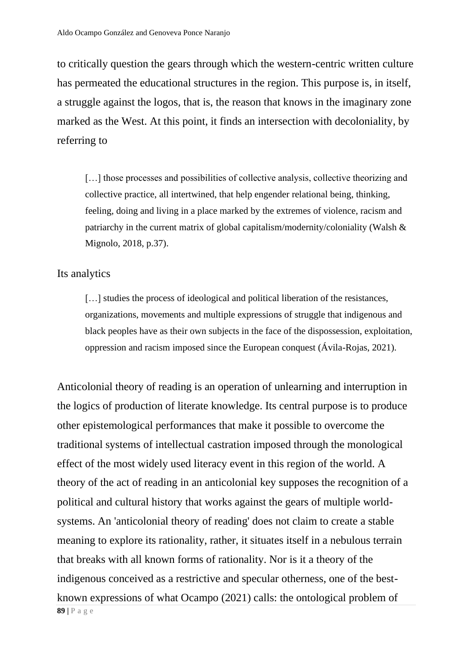to critically question the gears through which the western-centric written culture has permeated the educational structures in the region. This purpose is, in itself, a struggle against the logos, that is, the reason that knows in the imaginary zone marked as the West. At this point, it finds an intersection with decoloniality, by referring to

[...] those processes and possibilities of collective analysis, collective theorizing and collective practice, all intertwined, that help engender relational being, thinking, feeling, doing and living in a place marked by the extremes of violence, racism and patriarchy in the current matrix of global capitalism/modernity/coloniality (Walsh & Mignolo, 2018, p.37).

#### Its analytics

[...] studies the process of ideological and political liberation of the resistances, organizations, movements and multiple expressions of struggle that indigenous and black peoples have as their own subjects in the face of the dispossession, exploitation, oppression and racism imposed since the European conquest (Ávila-Rojas, 2021).

**89 |** P a g e Anticolonial theory of reading is an operation of unlearning and interruption in the logics of production of literate knowledge. Its central purpose is to produce other epistemological performances that make it possible to overcome the traditional systems of intellectual castration imposed through the monological effect of the most widely used literacy event in this region of the world. A theory of the act of reading in an anticolonial key supposes the recognition of a political and cultural history that works against the gears of multiple worldsystems. An 'anticolonial theory of reading' does not claim to create a stable meaning to explore its rationality, rather, it situates itself in a nebulous terrain that breaks with all known forms of rationality. Nor is it a theory of the indigenous conceived as a restrictive and specular otherness, one of the bestknown expressions of what Ocampo (2021) calls: the ontological problem of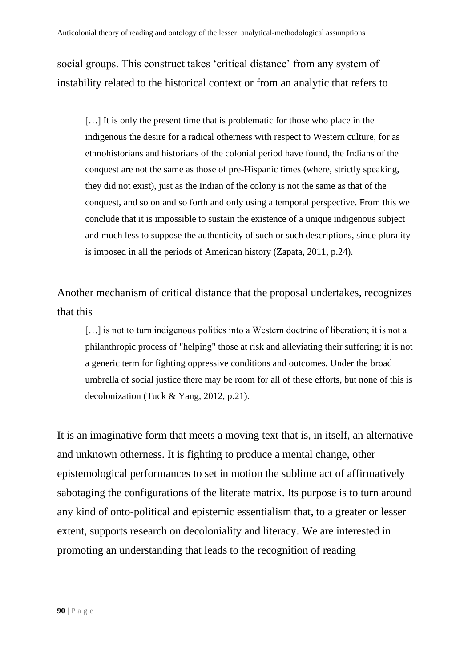social groups. This construct takes 'critical distance' from any system of instability related to the historical context or from an analytic that refers to

[…] It is only the present time that is problematic for those who place in the indigenous the desire for a radical otherness with respect to Western culture, for as ethnohistorians and historians of the colonial period have found, the Indians of the conquest are not the same as those of pre-Hispanic times (where, strictly speaking, they did not exist), just as the Indian of the colony is not the same as that of the conquest, and so on and so forth and only using a temporal perspective. From this we conclude that it is impossible to sustain the existence of a unique indigenous subject and much less to suppose the authenticity of such or such descriptions, since plurality is imposed in all the periods of American history (Zapata, 2011, p.24).

Another mechanism of critical distance that the proposal undertakes, recognizes that this

[...] is not to turn indigenous politics into a Western doctrine of liberation; it is not a philanthropic process of "helping" those at risk and alleviating their suffering; it is not a generic term for fighting oppressive conditions and outcomes. Under the broad umbrella of social justice there may be room for all of these efforts, but none of this is decolonization (Tuck & Yang, 2012, p.21).

It is an imaginative form that meets a moving text that is, in itself, an alternative and unknown otherness. It is fighting to produce a mental change, other epistemological performances to set in motion the sublime act of affirmatively sabotaging the configurations of the literate matrix. Its purpose is to turn around any kind of onto-political and epistemic essentialism that, to a greater or lesser extent, supports research on decoloniality and literacy. We are interested in promoting an understanding that leads to the recognition of reading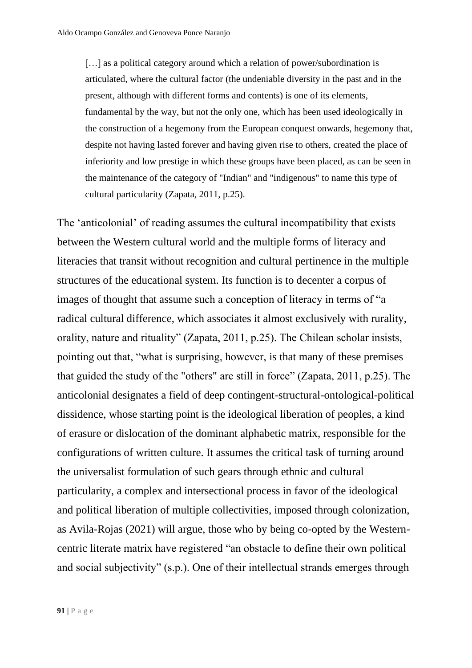[...] as a political category around which a relation of power/subordination is articulated, where the cultural factor (the undeniable diversity in the past and in the present, although with different forms and contents) is one of its elements, fundamental by the way, but not the only one, which has been used ideologically in the construction of a hegemony from the European conquest onwards, hegemony that, despite not having lasted forever and having given rise to others, created the place of inferiority and low prestige in which these groups have been placed, as can be seen in the maintenance of the category of "Indian" and "indigenous" to name this type of cultural particularity (Zapata, 2011, p.25).

The 'anticolonial' of reading assumes the cultural incompatibility that exists between the Western cultural world and the multiple forms of literacy and literacies that transit without recognition and cultural pertinence in the multiple structures of the educational system. Its function is to decenter a corpus of images of thought that assume such a conception of literacy in terms of "a radical cultural difference, which associates it almost exclusively with rurality, orality, nature and rituality" (Zapata, 2011, p.25). The Chilean scholar insists, pointing out that, "what is surprising, however, is that many of these premises that guided the study of the "others" are still in force" (Zapata, 2011, p.25). The anticolonial designates a field of deep contingent-structural-ontological-political dissidence, whose starting point is the ideological liberation of peoples, a kind of erasure or dislocation of the dominant alphabetic matrix, responsible for the configurations of written culture. It assumes the critical task of turning around the universalist formulation of such gears through ethnic and cultural particularity, a complex and intersectional process in favor of the ideological and political liberation of multiple collectivities, imposed through colonization, as Avila-Rojas (2021) will argue, those who by being co-opted by the Westerncentric literate matrix have registered "an obstacle to define their own political and social subjectivity" (s.p.). One of their intellectual strands emerges through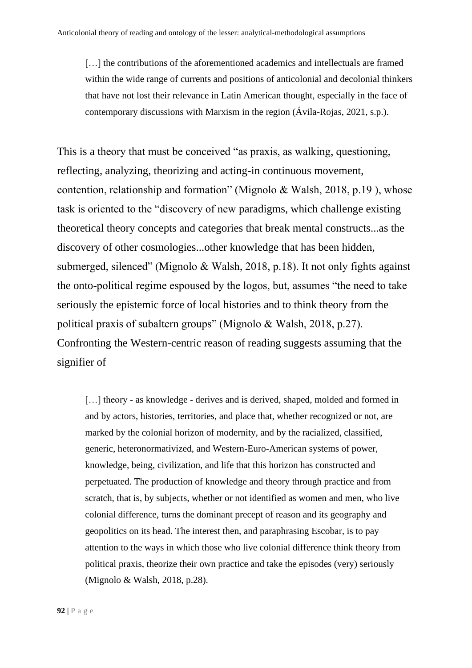[...] the contributions of the aforementioned academics and intellectuals are framed within the wide range of currents and positions of anticolonial and decolonial thinkers that have not lost their relevance in Latin American thought, especially in the face of contemporary discussions with Marxism in the region (Ávila-Rojas, 2021, s.p.).

This is a theory that must be conceived "as praxis, as walking, questioning, reflecting, analyzing, theorizing and acting-in continuous movement, contention, relationship and formation" (Mignolo & Walsh, 2018, p.19 ), whose task is oriented to the "discovery of new paradigms, which challenge existing theoretical theory concepts and categories that break mental constructs...as the discovery of other cosmologies...other knowledge that has been hidden, submerged, silenced" (Mignolo & Walsh, 2018, p.18). It not only fights against the onto-political regime espoused by the logos, but, assumes "the need to take seriously the epistemic force of local histories and to think theory from the political praxis of subaltern groups" (Mignolo & Walsh, 2018, p.27). Confronting the Western-centric reason of reading suggests assuming that the signifier of

[...] theory - as knowledge - derives and is derived, shaped, molded and formed in and by actors, histories, territories, and place that, whether recognized or not, are marked by the colonial horizon of modernity, and by the racialized, classified, generic, heteronormativized, and Western-Euro-American systems of power, knowledge, being, civilization, and life that this horizon has constructed and perpetuated. The production of knowledge and theory through practice and from scratch, that is, by subjects, whether or not identified as women and men, who live colonial difference, turns the dominant precept of reason and its geography and geopolitics on its head. The interest then, and paraphrasing Escobar, is to pay attention to the ways in which those who live colonial difference think theory from political praxis, theorize their own practice and take the episodes (very) seriously (Mignolo & Walsh, 2018, p.28).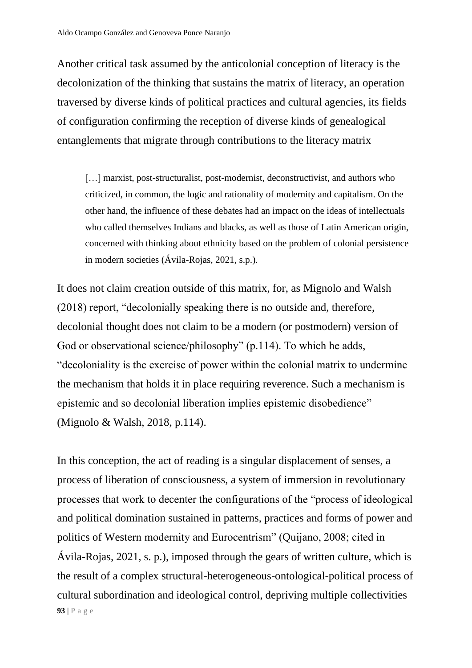Another critical task assumed by the anticolonial conception of literacy is the decolonization of the thinking that sustains the matrix of literacy, an operation traversed by diverse kinds of political practices and cultural agencies, its fields of configuration confirming the reception of diverse kinds of genealogical entanglements that migrate through contributions to the literacy matrix

[...] marxist, post-structuralist, post-modernist, deconstructivist, and authors who criticized, in common, the logic and rationality of modernity and capitalism. On the other hand, the influence of these debates had an impact on the ideas of intellectuals who called themselves Indians and blacks, as well as those of Latin American origin, concerned with thinking about ethnicity based on the problem of colonial persistence in modern societies (Ávila-Rojas, 2021, s.p.).

It does not claim creation outside of this matrix, for, as Mignolo and Walsh (2018) report, "decolonially speaking there is no outside and, therefore, decolonial thought does not claim to be a modern (or postmodern) version of God or observational science/philosophy" (p.114). To which he adds, "decoloniality is the exercise of power within the colonial matrix to undermine the mechanism that holds it in place requiring reverence. Such a mechanism is epistemic and so decolonial liberation implies epistemic disobedience" (Mignolo & Walsh, 2018, p.114).

In this conception, the act of reading is a singular displacement of senses, a process of liberation of consciousness, a system of immersion in revolutionary processes that work to decenter the configurations of the "process of ideological and political domination sustained in patterns, practices and forms of power and politics of Western modernity and Eurocentrism" (Quijano, 2008; cited in Ávila-Rojas, 2021, s. p.), imposed through the gears of written culture, which is the result of a complex structural-heterogeneous-ontological-political process of cultural subordination and ideological control, depriving multiple collectivities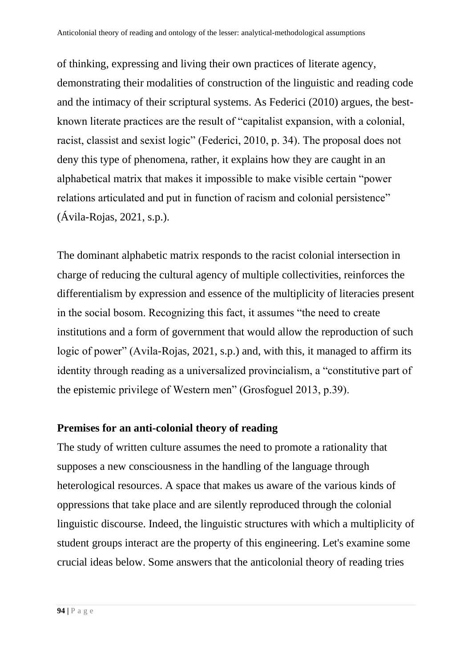of thinking, expressing and living their own practices of literate agency, demonstrating their modalities of construction of the linguistic and reading code and the intimacy of their scriptural systems. As Federici (2010) argues, the bestknown literate practices are the result of "capitalist expansion, with a colonial, racist, classist and sexist logic" (Federici, 2010, p. 34). The proposal does not deny this type of phenomena, rather, it explains how they are caught in an alphabetical matrix that makes it impossible to make visible certain "power relations articulated and put in function of racism and colonial persistence" (Ávila-Rojas, 2021, s.p.).

The dominant alphabetic matrix responds to the racist colonial intersection in charge of reducing the cultural agency of multiple collectivities, reinforces the differentialism by expression and essence of the multiplicity of literacies present in the social bosom. Recognizing this fact, it assumes "the need to create institutions and a form of government that would allow the reproduction of such logic of power" (Avila-Rojas, 2021, s.p.) and, with this, it managed to affirm its identity through reading as a universalized provincialism, a "constitutive part of the epistemic privilege of Western men" (Grosfoguel 2013, p.39).

#### **Premises for an anti-colonial theory of reading**

The study of written culture assumes the need to promote a rationality that supposes a new consciousness in the handling of the language through heterological resources. A space that makes us aware of the various kinds of oppressions that take place and are silently reproduced through the colonial linguistic discourse. Indeed, the linguistic structures with which a multiplicity of student groups interact are the property of this engineering. Let's examine some crucial ideas below. Some answers that the anticolonial theory of reading tries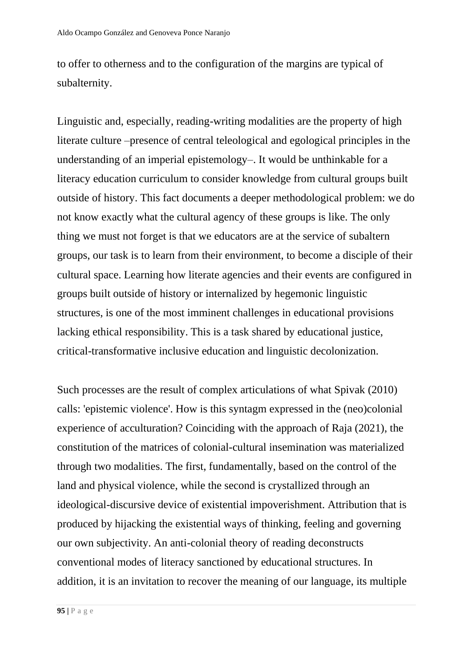to offer to otherness and to the configuration of the margins are typical of subalternity.

Linguistic and, especially, reading-writing modalities are the property of high literate culture –presence of central teleological and egological principles in the understanding of an imperial epistemology–. It would be unthinkable for a literacy education curriculum to consider knowledge from cultural groups built outside of history. This fact documents a deeper methodological problem: we do not know exactly what the cultural agency of these groups is like. The only thing we must not forget is that we educators are at the service of subaltern groups, our task is to learn from their environment, to become a disciple of their cultural space. Learning how literate agencies and their events are configured in groups built outside of history or internalized by hegemonic linguistic structures, is one of the most imminent challenges in educational provisions lacking ethical responsibility. This is a task shared by educational justice, critical-transformative inclusive education and linguistic decolonization.

Such processes are the result of complex articulations of what Spivak (2010) calls: 'epistemic violence'. How is this syntagm expressed in the (neo)colonial experience of acculturation? Coinciding with the approach of Raja (2021), the constitution of the matrices of colonial-cultural insemination was materialized through two modalities. The first, fundamentally, based on the control of the land and physical violence, while the second is crystallized through an ideological-discursive device of existential impoverishment. Attribution that is produced by hijacking the existential ways of thinking, feeling and governing our own subjectivity. An anti-colonial theory of reading deconstructs conventional modes of literacy sanctioned by educational structures. In addition, it is an invitation to recover the meaning of our language, its multiple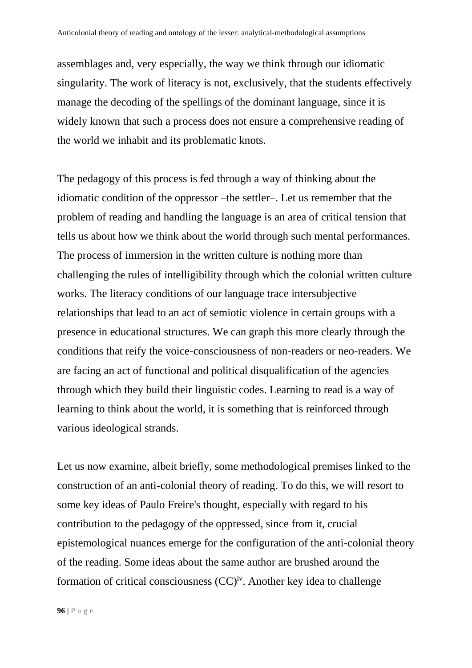assemblages and, very especially, the way we think through our idiomatic singularity. The work of literacy is not, exclusively, that the students effectively manage the decoding of the spellings of the dominant language, since it is widely known that such a process does not ensure a comprehensive reading of the world we inhabit and its problematic knots.

The pedagogy of this process is fed through a way of thinking about the idiomatic condition of the oppressor –the settler–. Let us remember that the problem of reading and handling the language is an area of critical tension that tells us about how we think about the world through such mental performances. The process of immersion in the written culture is nothing more than challenging the rules of intelligibility through which the colonial written culture works. The literacy conditions of our language trace intersubjective relationships that lead to an act of semiotic violence in certain groups with a presence in educational structures. We can graph this more clearly through the conditions that reify the voice-consciousness of non-readers or neo-readers. We are facing an act of functional and political disqualification of the agencies through which they build their linguistic codes. Learning to read is a way of learning to think about the world, it is something that is reinforced through various ideological strands.

Let us now examine, albeit briefly, some methodological premises linked to the construction of an anti-colonial theory of reading. To do this, we will resort to some key ideas of Paulo Freire's thought, especially with regard to his contribution to the pedagogy of the oppressed, since from it, crucial epistemological nuances emerge for the configuration of the anti-colonial theory of the reading. Some ideas about the same author are brushed around the formation of critical consciousness  $(CC)^{iv}$ . Another key idea to challenge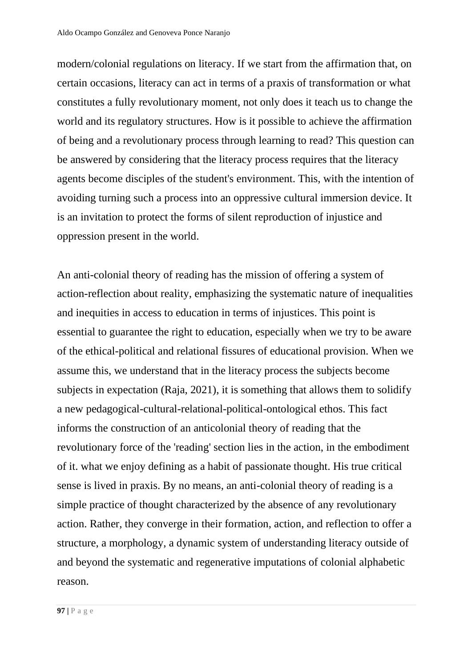modern/colonial regulations on literacy. If we start from the affirmation that, on certain occasions, literacy can act in terms of a praxis of transformation or what constitutes a fully revolutionary moment, not only does it teach us to change the world and its regulatory structures. How is it possible to achieve the affirmation of being and a revolutionary process through learning to read? This question can be answered by considering that the literacy process requires that the literacy agents become disciples of the student's environment. This, with the intention of avoiding turning such a process into an oppressive cultural immersion device. It is an invitation to protect the forms of silent reproduction of injustice and oppression present in the world.

An anti-colonial theory of reading has the mission of offering a system of action-reflection about reality, emphasizing the systematic nature of inequalities and inequities in access to education in terms of injustices. This point is essential to guarantee the right to education, especially when we try to be aware of the ethical-political and relational fissures of educational provision. When we assume this, we understand that in the literacy process the subjects become subjects in expectation (Raja, 2021), it is something that allows them to solidify a new pedagogical-cultural-relational-political-ontological ethos. This fact informs the construction of an anticolonial theory of reading that the revolutionary force of the 'reading' section lies in the action, in the embodiment of it. what we enjoy defining as a habit of passionate thought. His true critical sense is lived in praxis. By no means, an anti-colonial theory of reading is a simple practice of thought characterized by the absence of any revolutionary action. Rather, they converge in their formation, action, and reflection to offer a structure, a morphology, a dynamic system of understanding literacy outside of and beyond the systematic and regenerative imputations of colonial alphabetic reason.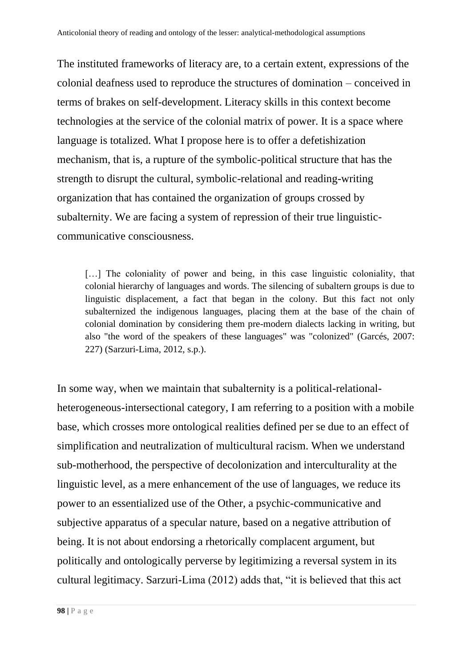The instituted frameworks of literacy are, to a certain extent, expressions of the colonial deafness used to reproduce the structures of domination – conceived in terms of brakes on self-development. Literacy skills in this context become technologies at the service of the colonial matrix of power. It is a space where language is totalized. What I propose here is to offer a defetishization mechanism, that is, a rupture of the symbolic-political structure that has the strength to disrupt the cultural, symbolic-relational and reading-writing organization that has contained the organization of groups crossed by subalternity. We are facing a system of repression of their true linguisticcommunicative consciousness.

[...] The coloniality of power and being, in this case linguistic coloniality, that colonial hierarchy of languages and words. The silencing of subaltern groups is due to linguistic displacement, a fact that began in the colony. But this fact not only subalternized the indigenous languages, placing them at the base of the chain of colonial domination by considering them pre-modern dialects lacking in writing, but also "the word of the speakers of these languages" was "colonized" (Garcés, 2007: 227) (Sarzuri-Lima, 2012, s.p.).

In some way, when we maintain that subalternity is a political-relationalheterogeneous-intersectional category, I am referring to a position with a mobile base, which crosses more ontological realities defined per se due to an effect of simplification and neutralization of multicultural racism. When we understand sub-motherhood, the perspective of decolonization and interculturality at the linguistic level, as a mere enhancement of the use of languages, we reduce its power to an essentialized use of the Other, a psychic-communicative and subjective apparatus of a specular nature, based on a negative attribution of being. It is not about endorsing a rhetorically complacent argument, but politically and ontologically perverse by legitimizing a reversal system in its cultural legitimacy. Sarzuri-Lima (2012) adds that, "it is believed that this act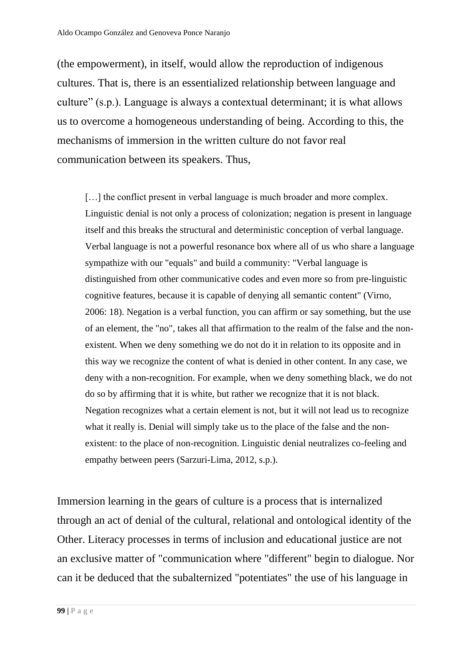(the empowerment), in itself, would allow the reproduction of indigenous cultures. That is, there is an essentialized relationship between language and culture" (s.p.). Language is always a contextual determinant; it is what allows us to overcome a homogeneous understanding of being. According to this, the mechanisms of immersion in the written culture do not favor real communication between its speakers. Thus,

[...] the conflict present in verbal language is much broader and more complex. Linguistic denial is not only a process of colonization; negation is present in language itself and this breaks the structural and deterministic conception of verbal language. Verbal language is not a powerful resonance box where all of us who share a language sympathize with our "equals" and build a community: "Verbal language is distinguished from other communicative codes and even more so from pre-linguistic cognitive features, because it is capable of denying all semantic content" (Virno, 2006: 18). Negation is a verbal function, you can affirm or say something, but the use of an element, the "no", takes all that affirmation to the realm of the false and the nonexistent. When we deny something we do not do it in relation to its opposite and in this way we recognize the content of what is denied in other content. In any case, we deny with a non-recognition. For example, when we deny something black, we do not do so by affirming that it is white, but rather we recognize that it is not black. Negation recognizes what a certain element is not, but it will not lead us to recognize what it really is. Denial will simply take us to the place of the false and the nonexistent: to the place of non-recognition. Linguistic denial neutralizes co-feeling and empathy between peers (Sarzuri-Lima, 2012, s.p.).

Immersion learning in the gears of culture is a process that is internalized through an act of denial of the cultural, relational and ontological identity of the Other. Literacy processes in terms of inclusion and educational justice are not an exclusive matter of "communication where "different" begin to dialogue. Nor can it be deduced that the subalternized "potentiates" the use of his language in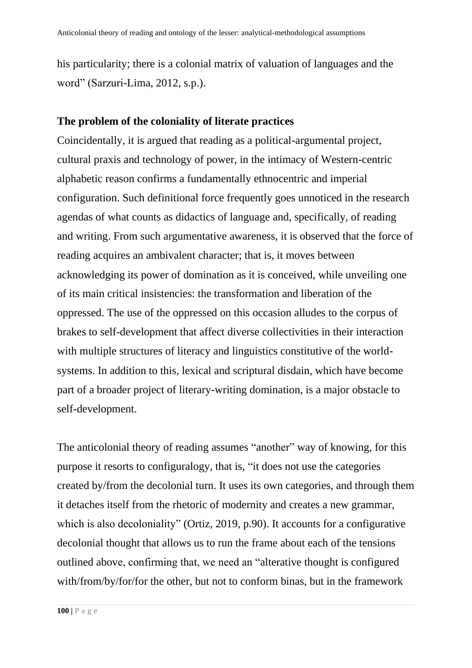his particularity; there is a colonial matrix of valuation of languages and the word" (Sarzuri-Lima, 2012, s.p.).

#### **The problem of the coloniality of literate practices**

Coincidentally, it is argued that reading as a political-argumental project, cultural praxis and technology of power, in the intimacy of Western-centric alphabetic reason confirms a fundamentally ethnocentric and imperial configuration. Such definitional force frequently goes unnoticed in the research agendas of what counts as didactics of language and, specifically, of reading and writing. From such argumentative awareness, it is observed that the force of reading acquires an ambivalent character; that is, it moves between acknowledging its power of domination as it is conceived, while unveiling one of its main critical insistencies: the transformation and liberation of the oppressed. The use of the oppressed on this occasion alludes to the corpus of brakes to self-development that affect diverse collectivities in their interaction with multiple structures of literacy and linguistics constitutive of the worldsystems. In addition to this, lexical and scriptural disdain, which have become part of a broader project of literary-writing domination, is a major obstacle to self-development.

The anticolonial theory of reading assumes "another" way of knowing, for this purpose it resorts to configuralogy, that is, "it does not use the categories created by/from the decolonial turn. It uses its own categories, and through them it detaches itself from the rhetoric of modernity and creates a new grammar, which is also decoloniality" (Ortiz, 2019, p.90). It accounts for a configurative decolonial thought that allows us to run the frame about each of the tensions outlined above, confirming that, we need an "alterative thought is configured with/from/by/for/for the other, but not to conform binas, but in the framework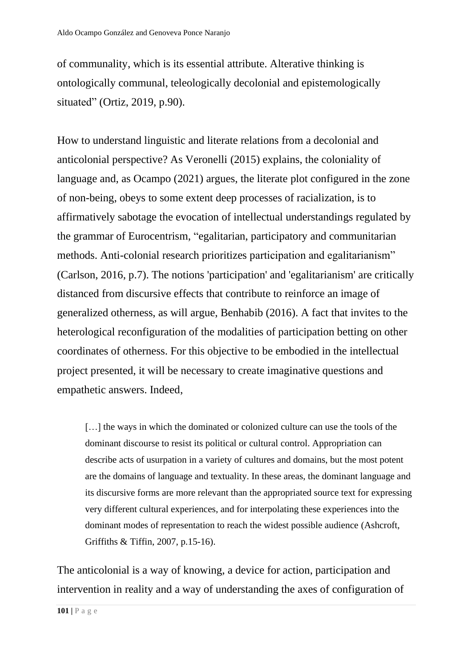of communality, which is its essential attribute. Alterative thinking is ontologically communal, teleologically decolonial and epistemologically situated" (Ortiz, 2019, p.90).

How to understand linguistic and literate relations from a decolonial and anticolonial perspective? As Veronelli (2015) explains, the coloniality of language and, as Ocampo (2021) argues, the literate plot configured in the zone of non-being, obeys to some extent deep processes of racialization, is to affirmatively sabotage the evocation of intellectual understandings regulated by the grammar of Eurocentrism, "egalitarian, participatory and communitarian methods. Anti-colonial research prioritizes participation and egalitarianism" (Carlson, 2016, p.7). The notions 'participation' and 'egalitarianism' are critically distanced from discursive effects that contribute to reinforce an image of generalized otherness, as will argue, Benhabib (2016). A fact that invites to the heterological reconfiguration of the modalities of participation betting on other coordinates of otherness. For this objective to be embodied in the intellectual project presented, it will be necessary to create imaginative questions and empathetic answers. Indeed,

[...] the ways in which the dominated or colonized culture can use the tools of the dominant discourse to resist its political or cultural control. Appropriation can describe acts of usurpation in a variety of cultures and domains, but the most potent are the domains of language and textuality. In these areas, the dominant language and its discursive forms are more relevant than the appropriated source text for expressing very different cultural experiences, and for interpolating these experiences into the dominant modes of representation to reach the widest possible audience (Ashcroft, Griffiths & Tiffin, 2007, p.15-16).

The anticolonial is a way of knowing, a device for action, participation and intervention in reality and a way of understanding the axes of configuration of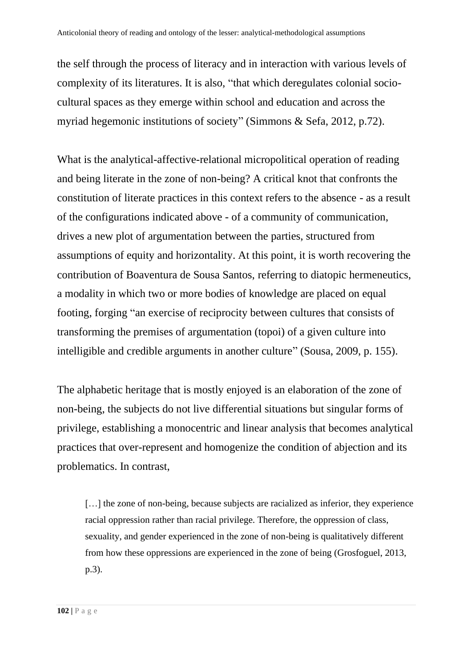the self through the process of literacy and in interaction with various levels of complexity of its literatures. It is also, "that which deregulates colonial sociocultural spaces as they emerge within school and education and across the myriad hegemonic institutions of society" (Simmons & Sefa, 2012, p.72).

What is the analytical-affective-relational micropolitical operation of reading and being literate in the zone of non-being? A critical knot that confronts the constitution of literate practices in this context refers to the absence - as a result of the configurations indicated above - of a community of communication, drives a new plot of argumentation between the parties, structured from assumptions of equity and horizontality. At this point, it is worth recovering the contribution of Boaventura de Sousa Santos, referring to diatopic hermeneutics, a modality in which two or more bodies of knowledge are placed on equal footing, forging "an exercise of reciprocity between cultures that consists of transforming the premises of argumentation (topoi) of a given culture into intelligible and credible arguments in another culture" (Sousa, 2009, p. 155).

The alphabetic heritage that is mostly enjoyed is an elaboration of the zone of non-being, the subjects do not live differential situations but singular forms of privilege, establishing a monocentric and linear analysis that becomes analytical practices that over-represent and homogenize the condition of abjection and its problematics. In contrast,

[...] the zone of non-being, because subjects are racialized as inferior, they experience racial oppression rather than racial privilege. Therefore, the oppression of class, sexuality, and gender experienced in the zone of non-being is qualitatively different from how these oppressions are experienced in the zone of being (Grosfoguel, 2013, p.3).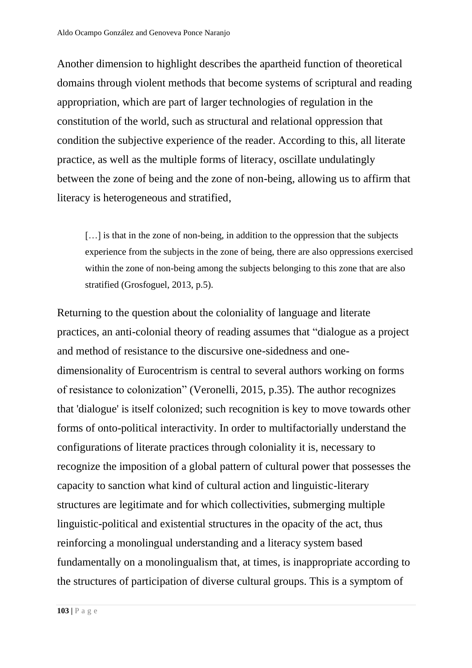Another dimension to highlight describes the apartheid function of theoretical domains through violent methods that become systems of scriptural and reading appropriation, which are part of larger technologies of regulation in the constitution of the world, such as structural and relational oppression that condition the subjective experience of the reader. According to this, all literate practice, as well as the multiple forms of literacy, oscillate undulatingly between the zone of being and the zone of non-being, allowing us to affirm that literacy is heterogeneous and stratified,

[...] is that in the zone of non-being, in addition to the oppression that the subjects experience from the subjects in the zone of being, there are also oppressions exercised within the zone of non-being among the subjects belonging to this zone that are also stratified (Grosfoguel, 2013, p.5).

Returning to the question about the coloniality of language and literate practices, an anti-colonial theory of reading assumes that "dialogue as a project and method of resistance to the discursive one-sidedness and onedimensionality of Eurocentrism is central to several authors working on forms of resistance to colonization" (Veronelli, 2015, p.35). The author recognizes that 'dialogue' is itself colonized; such recognition is key to move towards other forms of onto-political interactivity. In order to multifactorially understand the configurations of literate practices through coloniality it is, necessary to recognize the imposition of a global pattern of cultural power that possesses the capacity to sanction what kind of cultural action and linguistic-literary structures are legitimate and for which collectivities, submerging multiple linguistic-political and existential structures in the opacity of the act, thus reinforcing a monolingual understanding and a literacy system based fundamentally on a monolingualism that, at times, is inappropriate according to the structures of participation of diverse cultural groups. This is a symptom of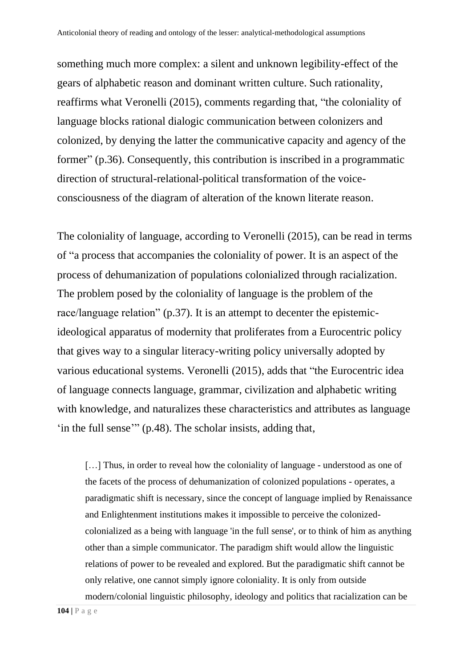something much more complex: a silent and unknown legibility-effect of the gears of alphabetic reason and dominant written culture. Such rationality, reaffirms what Veronelli (2015), comments regarding that, "the coloniality of language blocks rational dialogic communication between colonizers and colonized, by denying the latter the communicative capacity and agency of the former" (p.36). Consequently, this contribution is inscribed in a programmatic direction of structural-relational-political transformation of the voiceconsciousness of the diagram of alteration of the known literate reason.

The coloniality of language, according to Veronelli (2015), can be read in terms of "a process that accompanies the coloniality of power. It is an aspect of the process of dehumanization of populations colonialized through racialization. The problem posed by the coloniality of language is the problem of the race/language relation" (p.37). It is an attempt to decenter the epistemicideological apparatus of modernity that proliferates from a Eurocentric policy that gives way to a singular literacy-writing policy universally adopted by various educational systems. Veronelli (2015), adds that "the Eurocentric idea of language connects language, grammar, civilization and alphabetic writing with knowledge, and naturalizes these characteristics and attributes as language 'in the full sense'" (p.48). The scholar insists, adding that,

[...] Thus, in order to reveal how the coloniality of language - understood as one of the facets of the process of dehumanization of colonized populations - operates, a paradigmatic shift is necessary, since the concept of language implied by Renaissance and Enlightenment institutions makes it impossible to perceive the colonizedcolonialized as a being with language 'in the full sense', or to think of him as anything other than a simple communicator. The paradigm shift would allow the linguistic relations of power to be revealed and explored. But the paradigmatic shift cannot be only relative, one cannot simply ignore coloniality. It is only from outside modern/colonial linguistic philosophy, ideology and politics that racialization can be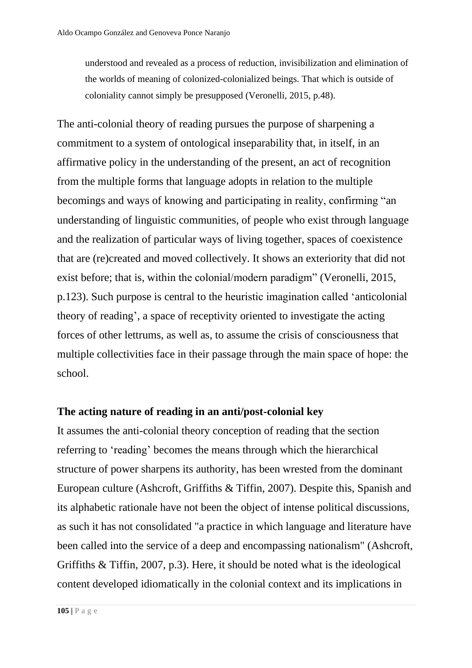understood and revealed as a process of reduction, invisibilization and elimination of the worlds of meaning of colonized-colonialized beings. That which is outside of coloniality cannot simply be presupposed (Veronelli, 2015, p.48).

The anti-colonial theory of reading pursues the purpose of sharpening a commitment to a system of ontological inseparability that, in itself, in an affirmative policy in the understanding of the present, an act of recognition from the multiple forms that language adopts in relation to the multiple becomings and ways of knowing and participating in reality, confirming "an understanding of linguistic communities, of people who exist through language and the realization of particular ways of living together, spaces of coexistence that are (re)created and moved collectively. It shows an exteriority that did not exist before; that is, within the colonial/modern paradigm" (Veronelli, 2015, p.123). Such purpose is central to the heuristic imagination called 'anticolonial theory of reading', a space of receptivity oriented to investigate the acting forces of other lettrums, as well as, to assume the crisis of consciousness that multiple collectivities face in their passage through the main space of hope: the school.

# **The acting nature of reading in an anti/post-colonial key**

It assumes the anti-colonial theory conception of reading that the section referring to 'reading' becomes the means through which the hierarchical structure of power sharpens its authority, has been wrested from the dominant European culture (Ashcroft, Griffiths & Tiffin, 2007). Despite this, Spanish and its alphabetic rationale have not been the object of intense political discussions, as such it has not consolidated "a practice in which language and literature have been called into the service of a deep and encompassing nationalism" (Ashcroft, Griffiths & Tiffin, 2007, p.3). Here, it should be noted what is the ideological content developed idiomatically in the colonial context and its implications in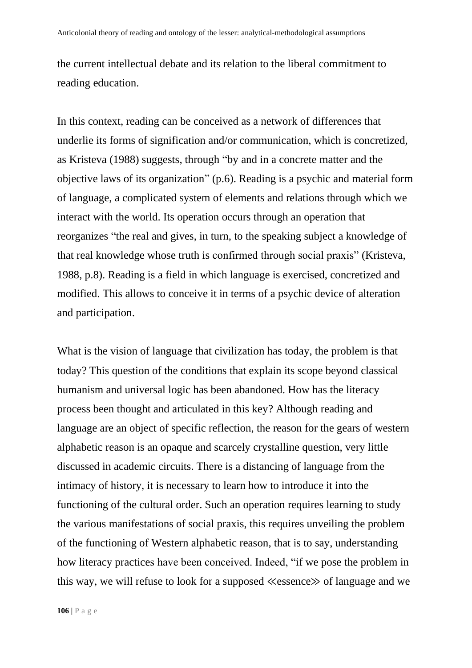the current intellectual debate and its relation to the liberal commitment to reading education.

In this context, reading can be conceived as a network of differences that underlie its forms of signification and/or communication, which is concretized, as Kristeva (1988) suggests, through "by and in a concrete matter and the objective laws of its organization" (p.6). Reading is a psychic and material form of language, a complicated system of elements and relations through which we interact with the world. Its operation occurs through an operation that reorganizes "the real and gives, in turn, to the speaking subject a knowledge of that real knowledge whose truth is confirmed through social praxis" (Kristeva, 1988, p.8). Reading is a field in which language is exercised, concretized and modified. This allows to conceive it in terms of a psychic device of alteration and participation.

What is the vision of language that civilization has today, the problem is that today? This question of the conditions that explain its scope beyond classical humanism and universal logic has been abandoned. How has the literacy process been thought and articulated in this key? Although reading and language are an object of specific reflection, the reason for the gears of western alphabetic reason is an opaque and scarcely crystalline question, very little discussed in academic circuits. There is a distancing of language from the intimacy of history, it is necessary to learn how to introduce it into the functioning of the cultural order. Such an operation requires learning to study the various manifestations of social praxis, this requires unveiling the problem of the functioning of Western alphabetic reason, that is to say, understanding how literacy practices have been conceived. Indeed, "if we pose the problem in this way, we will refuse to look for a supposed ≪essence≫ of language and we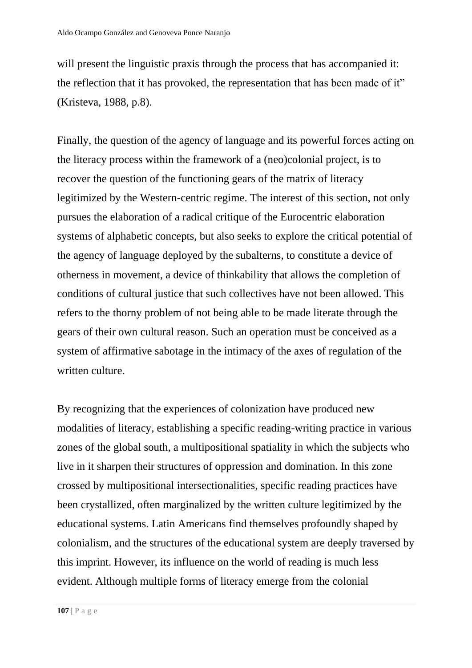will present the linguistic praxis through the process that has accompanied it: the reflection that it has provoked, the representation that has been made of it" (Kristeva, 1988, p.8).

Finally, the question of the agency of language and its powerful forces acting on the literacy process within the framework of a (neo)colonial project, is to recover the question of the functioning gears of the matrix of literacy legitimized by the Western-centric regime. The interest of this section, not only pursues the elaboration of a radical critique of the Eurocentric elaboration systems of alphabetic concepts, but also seeks to explore the critical potential of the agency of language deployed by the subalterns, to constitute a device of otherness in movement, a device of thinkability that allows the completion of conditions of cultural justice that such collectives have not been allowed. This refers to the thorny problem of not being able to be made literate through the gears of their own cultural reason. Such an operation must be conceived as a system of affirmative sabotage in the intimacy of the axes of regulation of the written culture.

By recognizing that the experiences of colonization have produced new modalities of literacy, establishing a specific reading-writing practice in various zones of the global south, a multipositional spatiality in which the subjects who live in it sharpen their structures of oppression and domination. In this zone crossed by multipositional intersectionalities, specific reading practices have been crystallized, often marginalized by the written culture legitimized by the educational systems. Latin Americans find themselves profoundly shaped by colonialism, and the structures of the educational system are deeply traversed by this imprint. However, its influence on the world of reading is much less evident. Although multiple forms of literacy emerge from the colonial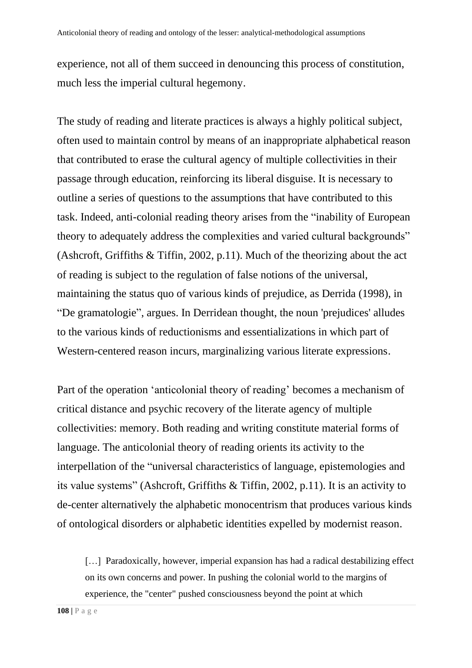experience, not all of them succeed in denouncing this process of constitution, much less the imperial cultural hegemony.

The study of reading and literate practices is always a highly political subject, often used to maintain control by means of an inappropriate alphabetical reason that contributed to erase the cultural agency of multiple collectivities in their passage through education, reinforcing its liberal disguise. It is necessary to outline a series of questions to the assumptions that have contributed to this task. Indeed, anti-colonial reading theory arises from the "inability of European theory to adequately address the complexities and varied cultural backgrounds" (Ashcroft, Griffiths & Tiffin, 2002, p.11). Much of the theorizing about the act of reading is subject to the regulation of false notions of the universal, maintaining the status quo of various kinds of prejudice, as Derrida (1998), in "De gramatologie", argues. In Derridean thought, the noun 'prejudices' alludes to the various kinds of reductionisms and essentializations in which part of Western-centered reason incurs, marginalizing various literate expressions.

Part of the operation 'anticolonial theory of reading' becomes a mechanism of critical distance and psychic recovery of the literate agency of multiple collectivities: memory. Both reading and writing constitute material forms of language. The anticolonial theory of reading orients its activity to the interpellation of the "universal characteristics of language, epistemologies and its value systems" (Ashcroft, Griffiths & Tiffin, 2002, p.11). It is an activity to de-center alternatively the alphabetic monocentrism that produces various kinds of ontological disorders or alphabetic identities expelled by modernist reason.

[...] Paradoxically, however, imperial expansion has had a radical destabilizing effect on its own concerns and power. In pushing the colonial world to the margins of experience, the "center" pushed consciousness beyond the point at which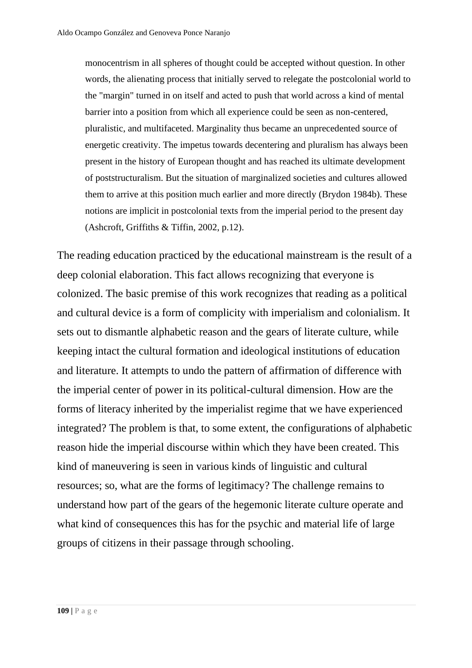monocentrism in all spheres of thought could be accepted without question. In other words, the alienating process that initially served to relegate the postcolonial world to the "margin" turned in on itself and acted to push that world across a kind of mental barrier into a position from which all experience could be seen as non-centered, pluralistic, and multifaceted. Marginality thus became an unprecedented source of energetic creativity. The impetus towards decentering and pluralism has always been present in the history of European thought and has reached its ultimate development of poststructuralism. But the situation of marginalized societies and cultures allowed them to arrive at this position much earlier and more directly (Brydon 1984b). These notions are implicit in postcolonial texts from the imperial period to the present day (Ashcroft, Griffiths & Tiffin, 2002, p.12).

The reading education practiced by the educational mainstream is the result of a deep colonial elaboration. This fact allows recognizing that everyone is colonized. The basic premise of this work recognizes that reading as a political and cultural device is a form of complicity with imperialism and colonialism. It sets out to dismantle alphabetic reason and the gears of literate culture, while keeping intact the cultural formation and ideological institutions of education and literature. It attempts to undo the pattern of affirmation of difference with the imperial center of power in its political-cultural dimension. How are the forms of literacy inherited by the imperialist regime that we have experienced integrated? The problem is that, to some extent, the configurations of alphabetic reason hide the imperial discourse within which they have been created. This kind of maneuvering is seen in various kinds of linguistic and cultural resources; so, what are the forms of legitimacy? The challenge remains to understand how part of the gears of the hegemonic literate culture operate and what kind of consequences this has for the psychic and material life of large groups of citizens in their passage through schooling.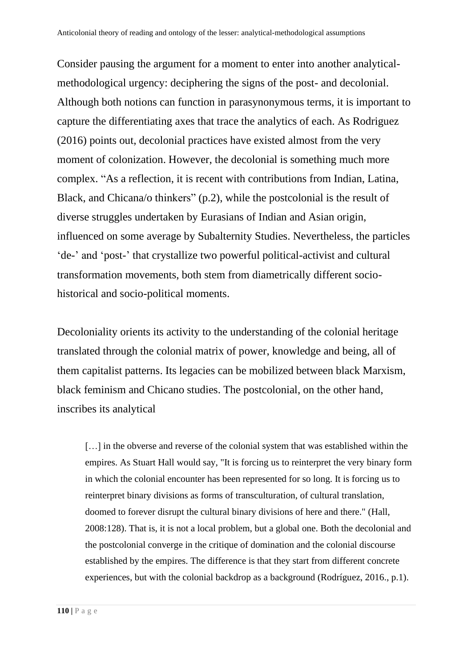Consider pausing the argument for a moment to enter into another analyticalmethodological urgency: deciphering the signs of the post- and decolonial. Although both notions can function in parasynonymous terms, it is important to capture the differentiating axes that trace the analytics of each. As Rodriguez (2016) points out, decolonial practices have existed almost from the very moment of colonization. However, the decolonial is something much more complex. "As a reflection, it is recent with contributions from Indian, Latina, Black, and Chicana/o thinkers" (p.2), while the postcolonial is the result of diverse struggles undertaken by Eurasians of Indian and Asian origin, influenced on some average by Subalternity Studies. Nevertheless, the particles 'de-' and 'post-' that crystallize two powerful political-activist and cultural transformation movements, both stem from diametrically different sociohistorical and socio-political moments.

Decoloniality orients its activity to the understanding of the colonial heritage translated through the colonial matrix of power, knowledge and being, all of them capitalist patterns. Its legacies can be mobilized between black Marxism, black feminism and Chicano studies. The postcolonial, on the other hand, inscribes its analytical

[...] in the obverse and reverse of the colonial system that was established within the empires. As Stuart Hall would say, "It is forcing us to reinterpret the very binary form in which the colonial encounter has been represented for so long. It is forcing us to reinterpret binary divisions as forms of transculturation, of cultural translation, doomed to forever disrupt the cultural binary divisions of here and there." (Hall, 2008:128). That is, it is not a local problem, but a global one. Both the decolonial and the postcolonial converge in the critique of domination and the colonial discourse established by the empires. The difference is that they start from different concrete experiences, but with the colonial backdrop as a background (Rodríguez, 2016., p.1).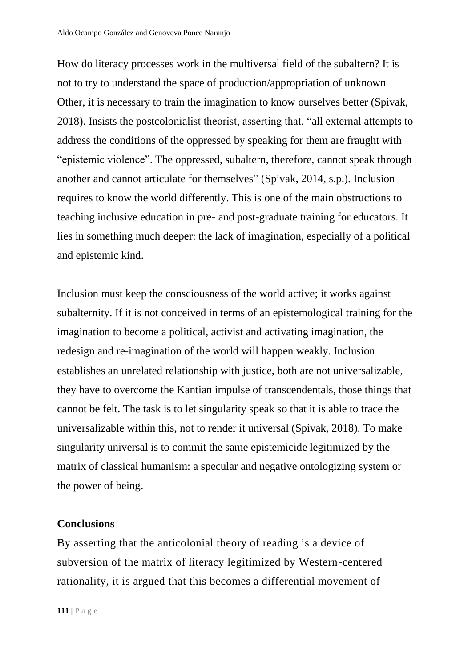How do literacy processes work in the multiversal field of the subaltern? It is not to try to understand the space of production/appropriation of unknown Other, it is necessary to train the imagination to know ourselves better (Spivak, 2018). Insists the postcolonialist theorist, asserting that, "all external attempts to address the conditions of the oppressed by speaking for them are fraught with "epistemic violence". The oppressed, subaltern, therefore, cannot speak through another and cannot articulate for themselves" (Spivak, 2014, s.p.). Inclusion requires to know the world differently. This is one of the main obstructions to teaching inclusive education in pre- and post-graduate training for educators. It lies in something much deeper: the lack of imagination, especially of a political and epistemic kind.

Inclusion must keep the consciousness of the world active; it works against subalternity. If it is not conceived in terms of an epistemological training for the imagination to become a political, activist and activating imagination, the redesign and re-imagination of the world will happen weakly. Inclusion establishes an unrelated relationship with justice, both are not universalizable, they have to overcome the Kantian impulse of transcendentals, those things that cannot be felt. The task is to let singularity speak so that it is able to trace the universalizable within this, not to render it universal (Spivak, 2018). To make singularity universal is to commit the same epistemicide legitimized by the matrix of classical humanism: a specular and negative ontologizing system or the power of being.

## **Conclusions**

By asserting that the anticolonial theory of reading is a device of subversion of the matrix of literacy legitimized by Western-centered rationality, it is argued that this becomes a differential movement of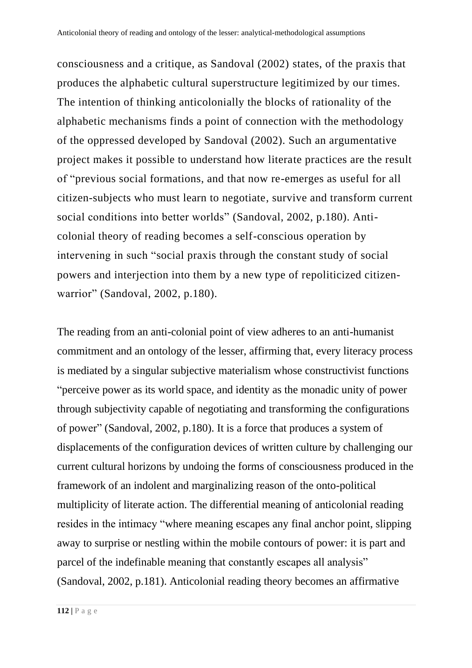consciousness and a critique, as Sandoval (2002) states, of the praxis that produces the alphabetic cultural superstructure legitimized by our times. The intention of thinking anticolonially the blocks of rationality of the alphabetic mechanisms finds a point of connection with the methodology of the oppressed developed by Sandoval (2002). Such an argumentative project makes it possible to understand how literate practices are the result of "previous social formations, and that now re-emerges as useful for all citizen-subjects who must learn to negotiate, survive and transform current social conditions into better worlds" (Sandoval, 2002, p.180). Anticolonial theory of reading becomes a self-conscious operation by intervening in such "social praxis through the constant study of social powers and interjection into them by a new type of repoliticized citizenwarrior" (Sandoval, 2002, p.180).

The reading from an anti-colonial point of view adheres to an anti-humanist commitment and an ontology of the lesser, affirming that, every literacy process is mediated by a singular subjective materialism whose constructivist functions "perceive power as its world space, and identity as the monadic unity of power through subjectivity capable of negotiating and transforming the configurations of power" (Sandoval, 2002, p.180). It is a force that produces a system of displacements of the configuration devices of written culture by challenging our current cultural horizons by undoing the forms of consciousness produced in the framework of an indolent and marginalizing reason of the onto-political multiplicity of literate action. The differential meaning of anticolonial reading resides in the intimacy "where meaning escapes any final anchor point, slipping away to surprise or nestling within the mobile contours of power: it is part and parcel of the indefinable meaning that constantly escapes all analysis" (Sandoval, 2002, p.181). Anticolonial reading theory becomes an affirmative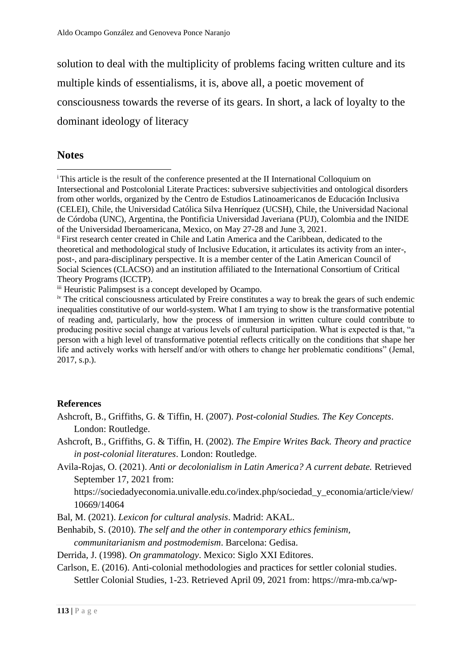solution to deal with the multiplicity of problems facing written culture and its multiple kinds of essentialisms, it is, above all, a poetic movement of consciousness towards the reverse of its gears. In short, a lack of loyalty to the dominant ideology of literacy

#### **Notes**

#### **References**

- Ashcroft, B., Griffiths, G. & Tiffin, H. (2007). *Post-colonial Studies. The Key Concepts*. London: Routledge.
- Ashcroft, B., Griffiths, G. & Tiffin, H. (2002). *The Empire Writes Back. Theory and practice in post-colonial literatures*. London: Routledge.
- Avila-Rojas, O. (2021). *Anti or decolonialism in Latin America? A current debate.* Retrieved September 17, 2021 from:

https://sociedadyeconomia.univalle.edu.co/index.php/sociedad\_y\_economia/article/view/ 10669/14064

Bal, M. (2021). *Lexicon for cultural analysis*. Madrid: AKAL.

Benhabib, S. (2010). *The self and the other in contemporary ethics feminism, communitarianism and postmodemism*. Barcelona: Gedisa.

Derrida, J. (1998). *On grammatology*. Mexico: Siglo XXI Editores.

Carlson, E. (2016). Anti-colonial methodologies and practices for settler colonial studies. Settler Colonial Studies, 1-23. Retrieved April 09, 2021 from: https://mra-mb.ca/wp-

<sup>&</sup>lt;sup>i</sup> This article is the result of the conference presented at the II International Colloquium on Intersectional and Postcolonial Literate Practices: subversive subjectivities and ontological disorders from other worlds, organized by the Centro de Estudios Latinoamericanos de Educación Inclusiva (CELEI), Chile, the Universidad Católica Silva Henríquez (UCSH), Chile, the Universidad Nacional de Córdoba (UNC), Argentina, the Pontificia Universidad Javeriana (PUJ), Colombia and the INIDE of the Universidad Iberoamericana, Mexico, on May 27-28 and June 3, 2021.

ii First research center created in Chile and Latin America and the Caribbean, dedicated to the theoretical and methodological study of Inclusive Education, it articulates its activity from an inter-, post-, and para-disciplinary perspective. It is a member center of the Latin American Council of Social Sciences (CLACSO) and an institution affiliated to the International Consortium of Critical Theory Programs (ICCTP).

iii Heuristic Palimpsest is a concept developed by Ocampo.

iv The critical consciousness articulated by Freire constitutes a way to break the gears of such endemic inequalities constitutive of our world-system. What I am trying to show is the transformative potential of reading and, particularly, how the process of immersion in written culture could contribute to producing positive social change at various levels of cultural participation. What is expected is that, "a person with a high level of transformative potential reflects critically on the conditions that shape her life and actively works with herself and/or with others to change her problematic conditions" (Jemal, 2017, s.p.).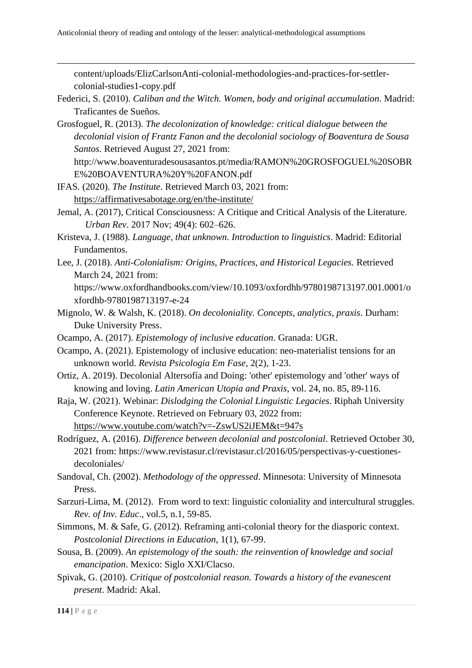content/uploads/ElizCarlsonAnti-colonial-methodologies-and-practices-for-settlercolonial-studies1-copy.pdf

- Federici, S. (2010). *Caliban and the Witch. Women, body and original accumulation*. Madrid: Traficantes de Sueños.
- Grosfoguel, R. (2013). *The decolonization of knowledge: critical dialogue between the decolonial vision of Frantz Fanon and the decolonial sociology of Boaventura de Sousa Santos*. Retrieved August 27, 2021 from: http://www.boaventuradesousasantos.pt/media/RAMON%20GROSFOGUEL%20SOBR

E%20BOAVENTURA%20Y%20FANON.pdf

- IFAS. (2020). *The Institute*. Retrieved March 03, 2021 from: <https://affirmativesabotage.org/en/the-institute/>
- Jemal, A. (2017), Critical Consciousness: A Critique and Critical Analysis of the Literature. *Urban Rev*. 2017 Nov; 49(4): 602–626.
- Kristeva, J. (1988). *Language, that unknown. Introduction to linguistics*. Madrid: Editorial Fundamentos.
- Lee, J. (2018). *Anti-Colonialism: Origins, Practices, and Historical Legacies.* Retrieved March 24, 2021 from:

https://www.oxfordhandbooks.com/view/10.1093/oxfordhb/9780198713197.001.0001/o xfordhb-9780198713197-e-24

- Mignolo, W. & Walsh, K. (2018). *On decoloniality. Concepts, analytics, praxis*. Durham: Duke University Press.
- Ocampo, A. (2017). *Epistemology of inclusive education*. Granada: UGR.
- Ocampo, A. (2021). Epistemology of inclusive education: neo-materialist tensions for an unknown world. *Revista Psicologia Em Fase*, 2(2), 1-23.
- Ortiz, A. 2019). Decolonial Altersofía and Doing: 'other' epistemology and 'other' ways of knowing and loving. *Latin American Utopia and Praxis*, vol. 24, no. 85, 89-116.
- Raja, W. (2021). Webinar: *Dislodging the Colonial Linguistic Legacies*. Riphah University Conference Keynote. Retrieved on February 03, 2022 from: <https://www.youtube.com/watch?v=-ZswUS2iJEM&t=947s>
- Rodríguez, A. (2016). *Difference between decolonial and postcolonial*. Retrieved October 30, 2021 from: https://www.revistasur.cl/revistasur.cl/2016/05/perspectivas-y-cuestionesdecoloniales/
- Sandoval, Ch. (2002). *Methodology of the oppressed*. Minnesota: University of Minnesota Press.
- Sarzuri-Lima, M. (2012). From word to text: linguistic coloniality and intercultural struggles. *Rev. of Inv. Educ*., vol.5, n.1, 59-85.
- Simmons, M. & Safe, G. (2012). Reframing anti-colonial theory for the diasporic context. *Postcolonial Directions in Education*, 1(1), 67-99.
- Sousa, B. (2009). *An epistemology of the south: the reinvention of knowledge and social emancipation*. Mexico: Siglo XXI/Clacso.
- Spivak, G. (2010). *Critique of postcolonial reason. Towards a history of the evanescent present*. Madrid: Akal.